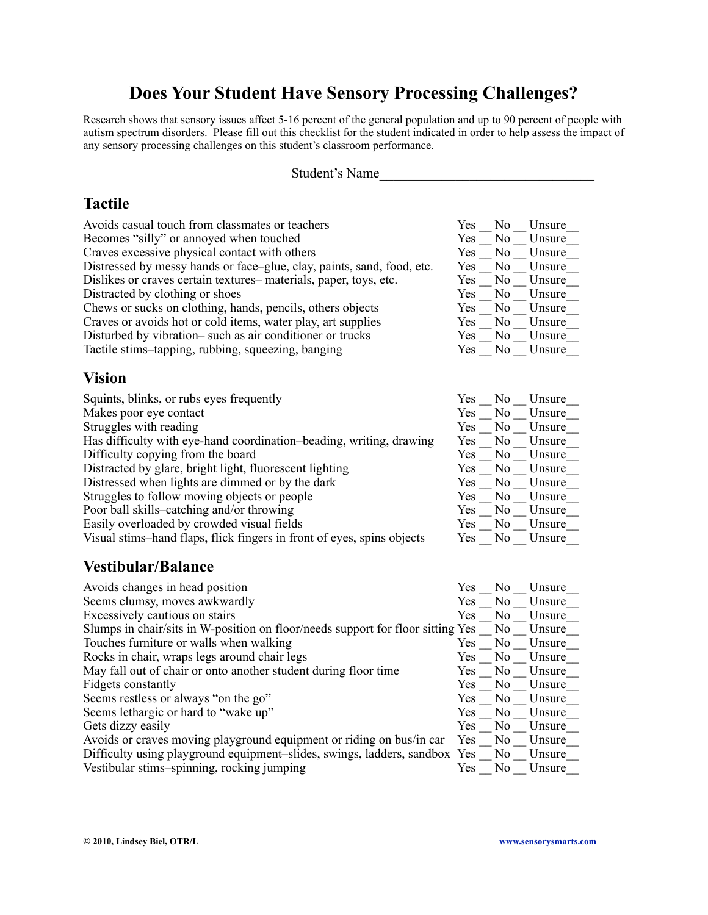# **Does Your Student Have Sensory Processing Challenges?**

Research shows that sensory issues affect 5-16 percent of the general population and up to 90 percent of people with autism spectrum disorders. Please fill out this checklist for the student indicated in order to help assess the impact of any sensory processing challenges on this student's classroom performance.

Student's Name

#### **Tactile**

| Yes  | No.  | Unsure |
|------|------|--------|
| Yes  | No   | Unsure |
| Yes  | No.  | Unsure |
| Yes  | No   | Unsure |
| Yes  | No   | Unsure |
| Yes  | No   | Unsure |
| Yes. | No 1 | Unsure |
| Yes  | No.  | Unsure |
| Yes  | No   | Unsure |
| Yes  | No   | Unsure |
|      |      |        |

#### **Vision**

| Squints, blinks, or rubs eyes frequently                               | Yes | N <sub>0</sub> | Unsure |
|------------------------------------------------------------------------|-----|----------------|--------|
| Makes poor eye contact                                                 | Yes | N <sub>0</sub> | Unsure |
| Struggles with reading                                                 | Yes | N <sub>0</sub> | Unsure |
| Has difficulty with eye-hand coordination-beading, writing, drawing    | Yes | No.            | Unsure |
| Difficulty copying from the board                                      | Yes | N <sub>0</sub> | Unsure |
| Distracted by glare, bright light, fluorescent lighting                | Yes | No.            | Unsure |
| Distressed when lights are dimmed or by the dark                       | Yes | N <sub>0</sub> | Unsure |
| Struggles to follow moving objects or people                           | Yes | N <sub>0</sub> | Unsure |
| Poor ball skills-catching and/or throwing                              | Yes | N <sub>0</sub> | Unsure |
| Easily overloaded by crowded visual fields                             | Yes | N <sub>0</sub> | Unsure |
| Visual stims-hand flaps, flick fingers in front of eyes, spins objects | Yes | N <sub>0</sub> | Unsure |

# **Vestibular/Balance**

| Avoids changes in head position                                                 | Yes | N <sub>0</sub> | Unsure |
|---------------------------------------------------------------------------------|-----|----------------|--------|
| Seems clumsy, moves awkwardly                                                   | Yes | N <sub>0</sub> | Unsure |
| Excessively cautious on stairs                                                  | Yes | No             | Unsure |
| Slumps in chair/sits in W-position on floor/needs support for floor sitting Yes |     | No.            | Unsure |
| Touches furniture or walls when walking                                         | Yes | No.            | Unsure |
| Rocks in chair, wraps legs around chair legs                                    | Yes | N <sub>0</sub> | Unsure |
| May fall out of chair or onto another student during floor time                 | Yes | N <sub>0</sub> | Unsure |
| Fidgets constantly                                                              | Yes | No.            | Unsure |
| Seems restless or always "on the go"                                            | Yes | N <sub>0</sub> | Unsure |
| Seems lethargic or hard to "wake up"                                            | Yes | N <sub>0</sub> | Unsure |
| Gets dizzy easily                                                               | Yes | No.            | Unsure |
| Avoids or craves moving playground equipment or riding on bus/in car            | Yes | No.            | Unsure |
| Difficulty using playground equipment-slides, swings, ladders, sandbox Yes      |     | No.            | Unsure |
| Vestibular stims-spinning, rocking jumping                                      | Yes | No.            | Unsure |

| Yes | No | Unsure |
|-----|----|--------|
| Yes | No | Unsure |
| Yes | No | Unsure |
| Yes | No | Unsure |
| Yes | No | Unsure |
| Yes | No | Unsure |
| Yes | No | Unsure |
| Yes | No | Unsure |
| Yes | No | Unsure |
| Yes | No | Unsure |

| Yes | No | Unsure |
|-----|----|--------|
| Yes | No | Unsure |
| Yes | No | Unsure |
| Yes | No | Unsure |
| Yes | No | Unsure |
| Yes | No | Unsure |
| Yes | No | Unsure |
| Yes | No | Unsure |
| Yes | No | Unsure |
| Yes | No | Unsure |
| Yes | No | Unsure |

| Yes | No | Unsure |
|-----|----|--------|
| Yes | No | Unsure |
| Yes | No | Unsure |
| Yes | No | Unsure |
| Yes | No | Unsure |
| Yes | No | Unsure |
| Yes | No | Unsure |
| Yes | No | Unsure |
| Yes | No | Unsure |
| Yes | No | Unsure |
| Yes | No | Unsure |
| Yes | No | Unsure |
| Yes | No | Unsure |
| Yes | No | Unsure |